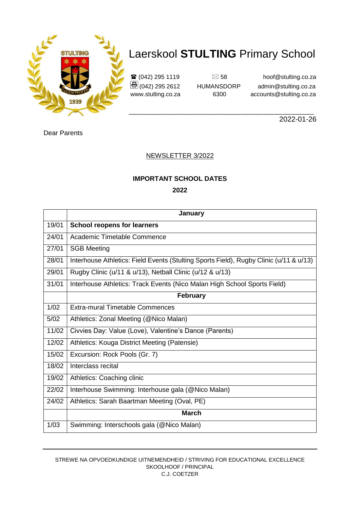

 $\mathbf{\hat{\mathbf{x}}}$  (042) 295 1119  $\Box$  58 hoof@stulting.co.za

www.stulting.co.za 6300 accounts@stulting.co.za

(042) 295 2612 HUMANSDORP admin@stulting.co.za

**\_\_\_\_\_\_\_\_\_\_\_\_\_\_\_\_\_\_\_\_\_\_\_\_\_\_\_\_\_\_\_\_\_\_\_\_\_\_\_\_\_\_\_\_\_\_\_\_\_\_\_\_\_\_\_\_\_\_\_\_\_\_\_\_\_\_\_\_\_\_\_\_\_\_\_\_\_\_\_\_\_\_\_\_\_\_\_\_** 2022-01-26

Dear Parents

#### NEWSLETTER 3/2022

#### **IMPORTANT SCHOOL DATES**

**2022**

| January                                                                                |
|----------------------------------------------------------------------------------------|
| <b>School reopens for learners</b>                                                     |
|                                                                                        |
| Academic Timetable Commence                                                            |
| <b>SGB Meeting</b>                                                                     |
| Interhouse Athletics: Field Events (Stulting Sports Field), Rugby Clinic (u/11 & u/13) |
| Rugby Clinic (u/11 & u/13), Netball Clinic (u/12 & u/13)                               |
| Interhouse Athletics: Track Events (Nico Malan High School Sports Field)               |
| <b>February</b>                                                                        |
| <b>Extra-mural Timetable Commences</b>                                                 |
| Athletics: Zonal Meeting (@Nico Malan)                                                 |
| Civvies Day: Value (Love), Valentine's Dance (Parents)                                 |
| Athletics: Kouga District Meeting (Patensie)                                           |
| Excursion: Rock Pools (Gr. 7)                                                          |
| Interclass recital                                                                     |
| Athletics: Coaching clinic                                                             |
| Interhouse Swimming: Interhouse gala (@Nico Malan)                                     |
| Athletics: Sarah Baartman Meeting (Oval, PE)                                           |
| <b>March</b>                                                                           |
| Swimming: Interschools gala (@Nico Malan)                                              |
|                                                                                        |

#### STREWE NA OPVOEDKUNDIGE UITNEMENDHEID / STRIVING FOR EDUCATIONAL EXCELLENCE SKOOLHOOF / PRINCIPAL C.J. COETZER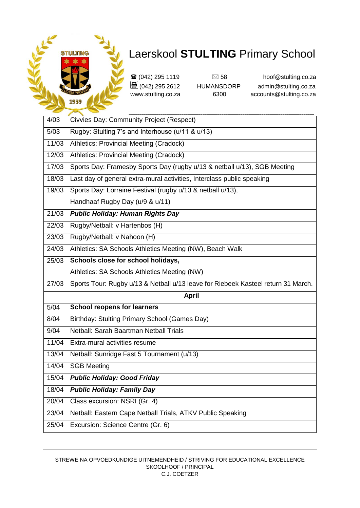

| 4/03  | Civvies Day: Community Project (Respect)                                          |
|-------|-----------------------------------------------------------------------------------|
| 5/03  | Rugby: Stulting 7's and Interhouse (u/11 & u/13)                                  |
| 11/03 | <b>Athletics: Provincial Meeting (Cradock)</b>                                    |
| 12/03 | <b>Athletics: Provincial Meeting (Cradock)</b>                                    |
| 17/03 | Sports Day: Framesby Sports Day (rugby u/13 & netball u/13), SGB Meeting          |
| 18/03 | Last day of general extra-mural activities, Interclass public speaking            |
| 19/03 | Sports Day: Lorraine Festival (rugby u/13 & netball u/13),                        |
|       | Handhaaf Rugby Day (u/9 & u/11)                                                   |
| 21/03 | <b>Public Holiday: Human Rights Day</b>                                           |
| 22/03 | Rugby/Netball: v Hartenbos (H)                                                    |
| 23/03 | Rugby/Netball: v Nahoon (H)                                                       |
| 24/03 | Athletics: SA Schools Athletics Meeting (NW), Beach Walk                          |
| 25/03 | Schools close for school holidays,                                                |
|       | Athletics: SA Schools Athletics Meeting (NW)                                      |
| 27/03 | Sports Tour: Rugby u/13 & Netball u/13 leave for Riebeek Kasteel return 31 March. |
|       | <b>April</b>                                                                      |
| 5/04  | <b>School reopens for learners</b>                                                |
| 8/04  | Birthday: Stulting Primary School (Games Day)                                     |
| 9/04  | Netball: Sarah Baartman Netball Trials                                            |
| 11/04 | Extra-mural activities resume                                                     |
| 13/04 | Netball: Sunridge Fast 5 Tournament (u/13)                                        |
| 14/04 | <b>SGB Meeting</b>                                                                |
| 15/04 | <b>Public Holiday: Good Friday</b>                                                |
| 18/04 | <b>Public Holiday: Family Day</b>                                                 |
| 20/04 | Class excursion: NSRI (Gr. 4)                                                     |
| 23/04 | Netball: Eastern Cape Netball Trials, ATKV Public Speaking                        |
| 25/04 | Excursion: Science Centre (Gr. 6)                                                 |
|       |                                                                                   |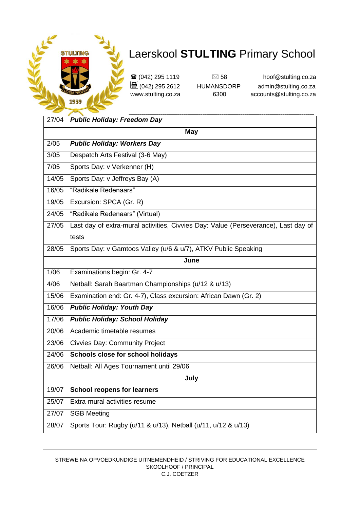

| 27/04              | <b>Public Holiday: Freedom Day</b>                                                 |
|--------------------|------------------------------------------------------------------------------------|
|                    | May                                                                                |
| 2/05               | <b>Public Holiday: Workers Day</b>                                                 |
| 3/05               | Despatch Arts Festival (3-6 May)                                                   |
| 7/05               | Sports Day: v Verkenner (H)                                                        |
| 14/05              | Sports Day: v Jeffreys Bay (A)                                                     |
| $\frac{1}{16}$ /05 | "Radikale Redenaars"                                                               |
| 19/05              | Excursion: SPCA (Gr. R)                                                            |
| 24/05              | "Radikale Redenaars" (Virtual)                                                     |
| 27/05              | Last day of extra-mural activities, Civvies Day: Value (Perseverance), Last day of |
|                    | tests                                                                              |
| 28/05              | Sports Day: v Gamtoos Valley (u/6 & u/7), ATKV Public Speaking                     |
|                    | June                                                                               |
| 1/06               | Examinations begin: Gr. 4-7                                                        |
| 4/06               | Netball: Sarah Baartman Championships (u/12 & u/13)                                |
| 15/06              | Examination end: Gr. 4-7), Class excursion: African Dawn (Gr. 2)                   |
| 16/06              | <b>Public Holiday: Youth Day</b>                                                   |
| 17/06              | <b>Public Holiday: School Holiday</b>                                              |
| 20/06              | Academic timetable resumes                                                         |
| 23/06              | <b>Civvies Day: Community Project</b>                                              |
| 24/06              | Schools close for school holidays                                                  |
| 26/06              | Netball: All Ages Tournament until 29/06                                           |
|                    | July                                                                               |
| 19/07              | <b>School reopens for learners</b>                                                 |
| 25/07              | Extra-mural activities resume                                                      |
| $\frac{27}{07}$    | <b>SGB Meeting</b>                                                                 |
| 28/07              | Sports Tour: Rugby (u/11 & u/13), Netball (u/11, u/12 & u/13)                      |
|                    |                                                                                    |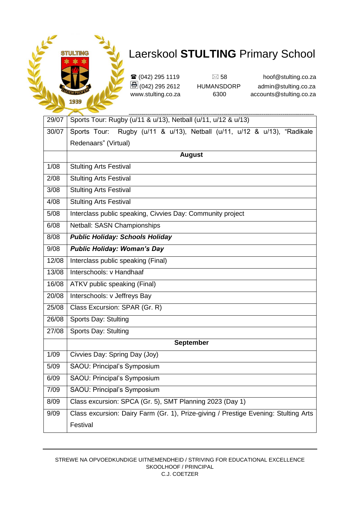

**\_\_\_\_\_\_\_\_\_\_\_\_\_\_\_\_\_\_\_\_\_\_\_\_\_\_\_\_\_\_\_\_\_\_\_\_\_\_\_\_\_\_\_\_\_\_\_\_\_\_\_\_\_\_\_\_\_\_\_\_\_\_\_\_\_\_\_\_\_\_\_\_\_\_\_\_\_\_\_\_\_\_\_\_\_\_\_\_**

| 29/07 | Sports Tour: Rugby (u/11 & u/13), Netball (u/11, u/12 & u/13)                       |
|-------|-------------------------------------------------------------------------------------|
| 30/07 | Rugby (u/11 & u/13), Netball (u/11, u/12 & u/13), "Radikale<br>Sports Tour:         |
|       | Redenaars" (Virtual)                                                                |
|       | <b>August</b>                                                                       |
| 1/08  | <b>Stulting Arts Festival</b>                                                       |
| 2/08  | Stulting Arts Festival                                                              |
| 3/08  | <b>Stulting Arts Festival</b>                                                       |
| 4/08  | <b>Stulting Arts Festival</b>                                                       |
| 5/08  | Interclass public speaking, Civvies Day: Community project                          |
| 6/08  | Netball: SASN Championships                                                         |
| 8/08  | <b>Public Holiday: Schools Holiday</b>                                              |
| 9/08  | <b>Public Holiday: Woman's Day</b>                                                  |
| 12/08 | Interclass public speaking (Final)                                                  |
| 13/08 | Interschools: v Handhaaf                                                            |
| 16/08 | ATKV public speaking (Final)                                                        |
| 20/08 | Interschools: v Jeffreys Bay                                                        |
| 25/08 | Class Excursion: SPAR (Gr. R)                                                       |
| 26/08 | Sports Day: Stulting                                                                |
| 27/08 | Sports Day: Stulting                                                                |
|       | <b>September</b>                                                                    |
| 1/09  | Civvies Day: Spring Day (Joy)                                                       |
| 5/09  | SAOU: Principal's Symposium                                                         |
| 6/09  | SAOU: Principal's Symposium                                                         |
| 7/09  | SAOU: Principal's Symposium                                                         |
| 8/09  | Class excursion: SPCA (Gr. 5), SMT Planning 2023 (Day 1)                            |
| 9/09  | Class excursion: Dairy Farm (Gr. 1), Prize-giving / Prestige Evening: Stulting Arts |
|       | Festival                                                                            |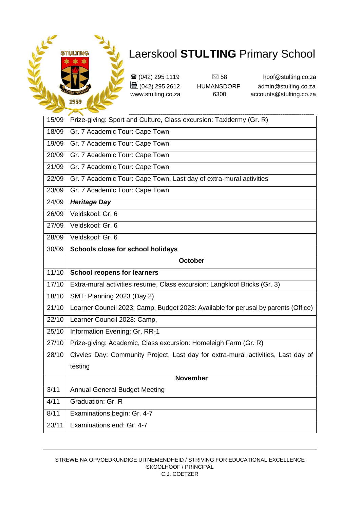

| 15/09 | Prize-giving: Sport and Culture, Class excursion: Taxidermy (Gr. R)                |
|-------|------------------------------------------------------------------------------------|
| 18/09 | Gr. 7 Academic Tour: Cape Town                                                     |
| 19/09 | Gr. 7 Academic Tour: Cape Town                                                     |
| 20/09 | Gr. 7 Academic Tour: Cape Town                                                     |
| 21/09 | Gr. 7 Academic Tour: Cape Town                                                     |
| 22/09 | Gr. 7 Academic Tour: Cape Town, Last day of extra-mural activities                 |
| 23/09 | Gr. 7 Academic Tour: Cape Town                                                     |
| 24/09 | <b>Heritage Day</b>                                                                |
| 26/09 | Veldskool: Gr. 6                                                                   |
| 27/09 | Veldskool: Gr. 6                                                                   |
| 28/09 | Veldskool: Gr. 6                                                                   |
| 30/09 | Schools close for school holidays                                                  |
|       | October                                                                            |
| 11/10 | <b>School reopens for learners</b>                                                 |
| 17/10 | Extra-mural activities resume, Class excursion: Langkloof Bricks (Gr. 3)           |
| 18/10 | SMT: Planning 2023 (Day 2)                                                         |
| 21/10 | Learner Council 2023: Camp, Budget 2023: Available for perusal by parents (Office) |
| 22/10 | Learner Council 2023: Camp,                                                        |
| 25/10 | Information Evening: Gr. RR-1                                                      |
| 27/10 | Prize-giving: Academic, Class excursion: Homeleigh Farm (Gr. R)                    |
| 28/10 | Civvies Day: Community Project, Last day for extra-mural activities, Last day of   |
|       | testing                                                                            |
|       | <b>November</b>                                                                    |
| 3/11  | <b>Annual General Budget Meeting</b>                                               |
| 4/11  | Graduation: Gr. R                                                                  |
| 8/11  | Examinations begin: Gr. 4-7                                                        |
| 23/11 | Examinations end: Gr. 4-7                                                          |
|       |                                                                                    |